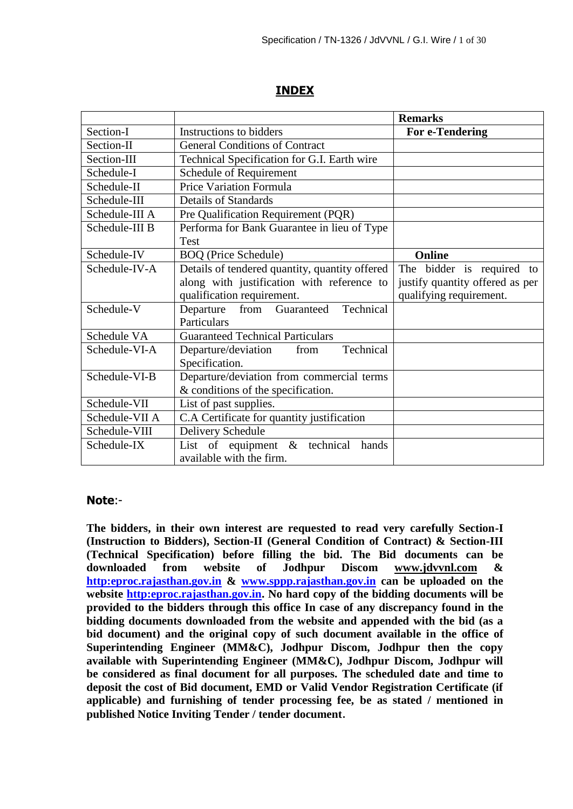## **INDEX**

|                |                                                | <b>Remarks</b>                  |
|----------------|------------------------------------------------|---------------------------------|
| Section-I      | Instructions to bidders                        | For e-Tendering                 |
| Section-II     | <b>General Conditions of Contract</b>          |                                 |
| Section-III    | Technical Specification for G.I. Earth wire    |                                 |
| Schedule-I     | Schedule of Requirement                        |                                 |
| Schedule-II    | Price Variation Formula                        |                                 |
| Schedule-III   | <b>Details of Standards</b>                    |                                 |
| Schedule-III A | Pre Qualification Requirement (PQR)            |                                 |
| Schedule-III B | Performa for Bank Guarantee in lieu of Type    |                                 |
|                | <b>Test</b>                                    |                                 |
| Schedule-IV    | <b>BOQ</b> (Price Schedule)                    | Online                          |
| Schedule-IV-A  | Details of tendered quantity, quantity offered | The bidder is required to       |
|                | along with justification with reference to     | justify quantity offered as per |
|                | qualification requirement.                     | qualifying requirement.         |
| Schedule-V     | Technical<br>Departure<br>Guaranteed<br>from   |                                 |
|                | Particulars                                    |                                 |
| Schedule VA    | <b>Guaranteed Technical Particulars</b>        |                                 |
| Schedule-VI-A  | Technical<br>Departure/deviation<br>from       |                                 |
|                | Specification.                                 |                                 |
| Schedule-VI-B  | Departure/deviation from commercial terms      |                                 |
|                | & conditions of the specification.             |                                 |
| Schedule-VII   | List of past supplies.                         |                                 |
| Schedule-VII A | C.A Certificate for quantity justification     |                                 |
| Schedule-VIII  | Delivery Schedule                              |                                 |
| Schedule-IX    | List of equipment $\&$ technical<br>hands      |                                 |
|                | available with the firm.                       |                                 |

#### **Note**:-

**The bidders, in their own interest are requested to read very carefully Section-I (Instruction to Bidders), Section-II (General Condition of Contract) & Section-III (Technical Specification) before filling the bid. The Bid documents can be downloaded from website of Jodhpur Discom www.jdvvnl.com & [http:eproc.rajasthan.gov.in](Specs%20Section-III%20.doc) & [www.sppp.rajasthan.gov.in](http://www.sppp.raj.nic.in/) can be uploaded on the website [http:eproc.rajasthan.gov.in.](file:\\192.168.16.65\sk%20bhati%20sir\d\S%20K%20Bhati%20c%20drive\ss\SKB\Bhati-08\TN-937%20Onwards%20(2013-14)\TN-957%20Stay%20Wire\Specs%20Section-III%20.doc) No hard copy of the bidding documents will be provided to the bidders through this office In case of any discrepancy found in the bidding documents downloaded from the website and appended with the bid (as a bid document) and the original copy of such document available in the office of Superintending Engineer (MM&C), Jodhpur Discom, Jodhpur then the copy available with Superintending Engineer (MM&C), Jodhpur Discom, Jodhpur will be considered as final document for all purposes. The scheduled date and time to deposit the cost of Bid document, EMD or Valid Vendor Registration Certificate (if applicable) and furnishing of tender processing fee, be as stated / mentioned in published Notice Inviting Tender / tender document**.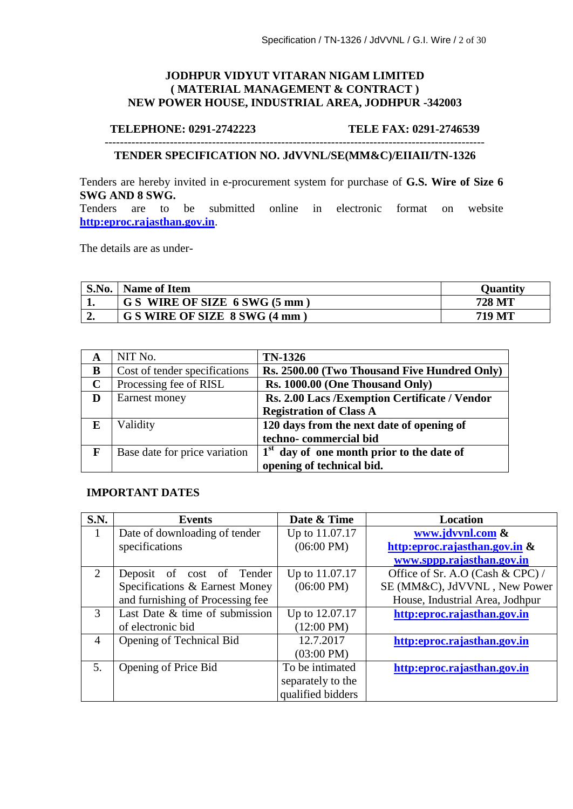#### **JODHPUR VIDYUT VITARAN NIGAM LIMITED ( MATERIAL MANAGEMENT & CONTRACT ) NEW POWER HOUSE, INDUSTRIAL AREA, JODHPUR -342003**

#### **TELEPHONE: 0291-2742223 TELE FAX: 0291-2746539**

#### **TENDER SPECIFICATION NO. JdVVNL/SE(MM&C)/EIIAII/TN-1326**

---------------------------------------------------------------------------------------------------

Tenders are hereby invited in e-procurement system for purchase of **G.S. Wire of Size 6 SWG AND 8 SWG.** 

Tenders are to be submitted online in electronic format on website **[http:eproc.rajasthan.gov.in](http://www.eproc.rajasthan.gov.in/nicgep/app)**.

The details are as under-

| S.No. | <b>Name of Item</b>           | <b>Quantity</b> |
|-------|-------------------------------|-----------------|
|       | G S WIRE OF SIZE 6 SWG (5 mm) | 728 MT          |
|       | G S WIRE OF SIZE 8 SWG (4 mm  | <b>719 MT</b>   |

|             | NIT No.                       | <b>TN-1326</b>                                        |
|-------------|-------------------------------|-------------------------------------------------------|
| B           | Cost of tender specifications | Rs. 2500.00 (Two Thousand Five Hundred Only)          |
| $\mathbf C$ | Processing fee of RISL        | Rs. 1000.00 (One Thousand Only)                       |
| D           | Earnest money                 | Rs. 2.00 Lacs / Exemption Certificate / Vendor        |
|             |                               | <b>Registration of Class A</b>                        |
| E           | Validity                      | 120 days from the next date of opening of             |
|             |                               | techno-commercial bid                                 |
| F           | Base date for price variation | 1 <sup>st</sup> day of one month prior to the date of |
|             |                               | opening of technical bid.                             |

#### **IMPORTANT DATES**

| S.N.                   | Events                           | Date & Time          | <b>Location</b>                  |
|------------------------|----------------------------------|----------------------|----------------------------------|
|                        | Date of downloading of tender    | Up to 11.07.17       | www.jdvvnl.com &                 |
|                        | specifications                   | $(06:00 \text{ PM})$ | http:eproc.rajasthan.gov.in &    |
|                        |                                  |                      | www.sppp.rajasthan.gov.in        |
| $\mathcal{D}_{\alpha}$ | Deposit of cost of Tender        | Up to 11.07.17       | Office of Sr. A.O (Cash & CPC) / |
|                        | Specifications & Earnest Money   | $(06:00 \text{ PM})$ | SE (MM&C), JdVVNL, New Power     |
|                        | and furnishing of Processing fee |                      | House, Industrial Area, Jodhpur  |
| 3                      | Last Date & time of submission   | Up to 12.07.17       | http:eproc.rajasthan.gov.in      |
|                        | of electronic bid                | $(12:00 \text{ PM})$ |                                  |
| 4                      | Opening of Technical Bid         | 12.7.2017            | http:eproc.rajasthan.gov.in      |
|                        |                                  | $(03:00 \text{ PM})$ |                                  |
| 5.                     | Opening of Price Bid             | To be intimated      | http:eproc.rajasthan.gov.in      |
|                        |                                  | separately to the    |                                  |
|                        |                                  | qualified bidders    |                                  |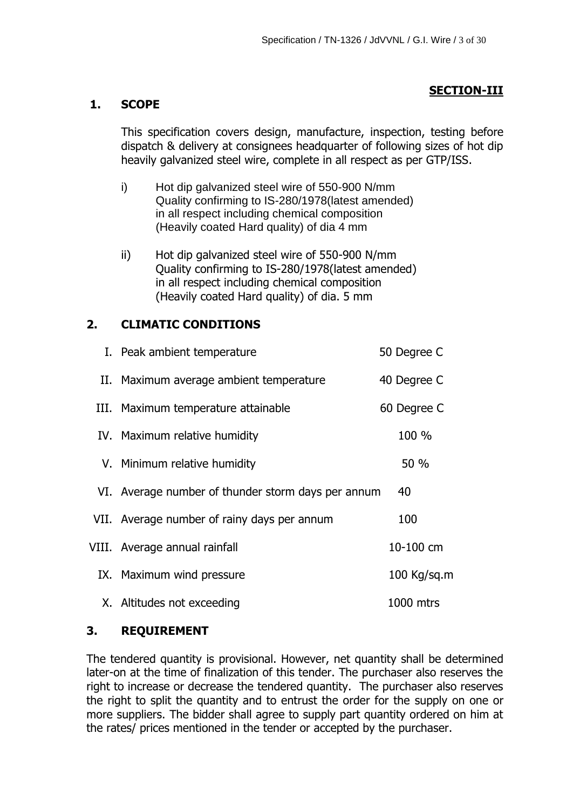## **SECTION-III**

## **1. SCOPE**

This specification covers design, manufacture, inspection, testing before dispatch & delivery at consignees headquarter of following sizes of hot dip heavily galvanized steel wire, complete in all respect as per GTP/ISS.

- i) Hot dip galvanized steel wire of 550-900 N/mm Quality confirming to IS-280/1978(latest amended) in all respect including chemical composition (Heavily coated Hard quality) of dia 4 mm
- ii) Hot dip galvanized steel wire of 550-900 N/mm Quality confirming to IS-280/1978(latest amended) in all respect including chemical composition (Heavily coated Hard quality) of dia. 5 mm

# **2. CLIMATIC CONDITIONS**

| I. Peak ambient temperature                        | 50 Degree C   |
|----------------------------------------------------|---------------|
| II. Maximum average ambient temperature            | 40 Degree C   |
| III. Maximum temperature attainable                | 60 Degree C   |
| IV. Maximum relative humidity                      | 100 %         |
| V. Minimum relative humidity                       | 50 %          |
| VI. Average number of thunder storm days per annum | 40            |
| VII. Average number of rainy days per annum        | 100           |
| VIII. Average annual rainfall                      | 10-100 cm     |
| IX. Maximum wind pressure                          | $100$ Kg/sq.m |
| X. Altitudes not exceeding                         | 1000 mtrs     |

# **3. REQUIREMENT**

The tendered quantity is provisional. However, net quantity shall be determined later-on at the time of finalization of this tender. The purchaser also reserves the right to increase or decrease the tendered quantity. The purchaser also reserves the right to split the quantity and to entrust the order for the supply on one or more suppliers. The bidder shall agree to supply part quantity ordered on him at the rates/ prices mentioned in the tender or accepted by the purchaser.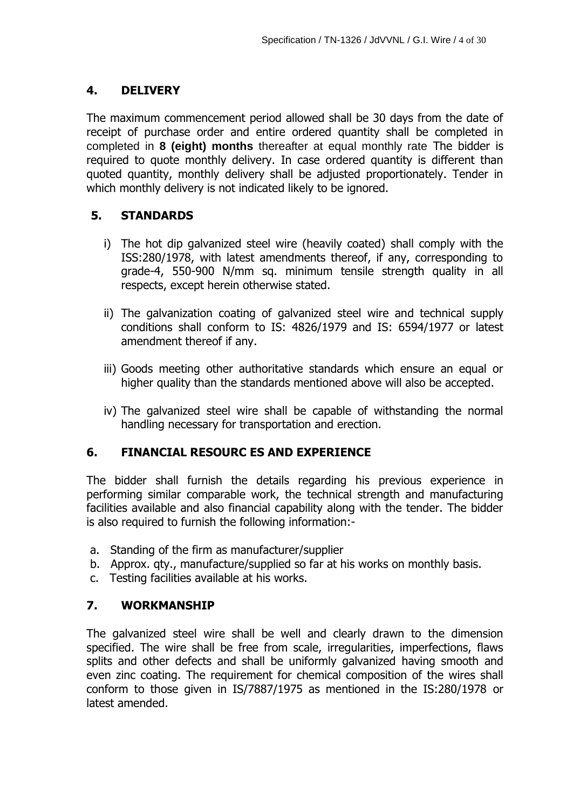## **4. DELIVERY**

The maximum commencement period allowed shall be 30 days from the date of receipt of purchase order and entire ordered quantity shall be completed in completed in **8 (eight) months** thereafter at equal monthly rate The bidder is required to quote monthly delivery. In case ordered quantity is different than quoted quantity, monthly delivery shall be adjusted proportionately. Tender in which monthly delivery is not indicated likely to be ignored.

## **5. STANDARDS**

- i) The hot dip galvanized steel wire (heavily coated) shall comply with the ISS:280/1978, with latest amendments thereof, if any, corresponding to grade-4, 550-900 N/mm sq. minimum tensile strength quality in all respects, except herein otherwise stated.
- ii) The galvanization coating of galvanized steel wire and technical supply conditions shall conform to IS: 4826/1979 and IS: 6594/1977 or latest amendment thereof if any.
- iii) Goods meeting other authoritative standards which ensure an equal or higher quality than the standards mentioned above will also be accepted.
- iv) The galvanized steel wire shall be capable of withstanding the normal handling necessary for transportation and erection.

## **6. FINANCIAL RESOURC ES AND EXPERIENCE**

The bidder shall furnish the details regarding his previous experience in performing similar comparable work, the technical strength and manufacturing facilities available and also financial capability along with the tender. The bidder is also required to furnish the following information:-

- a. Standing of the firm as manufacturer/supplier
- b. Approx. qty., manufacture/supplied so far at his works on monthly basis.
- c. Testing facilities available at his works.

## **7. WORKMANSHIP**

The galvanized steel wire shall be well and clearly drawn to the dimension specified. The wire shall be free from scale, irregularities, imperfections, flaws splits and other defects and shall be uniformly galvanized having smooth and even zinc coating. The requirement for chemical composition of the wires shall conform to those given in IS/7887/1975 as mentioned in the IS:280/1978 or latest amended.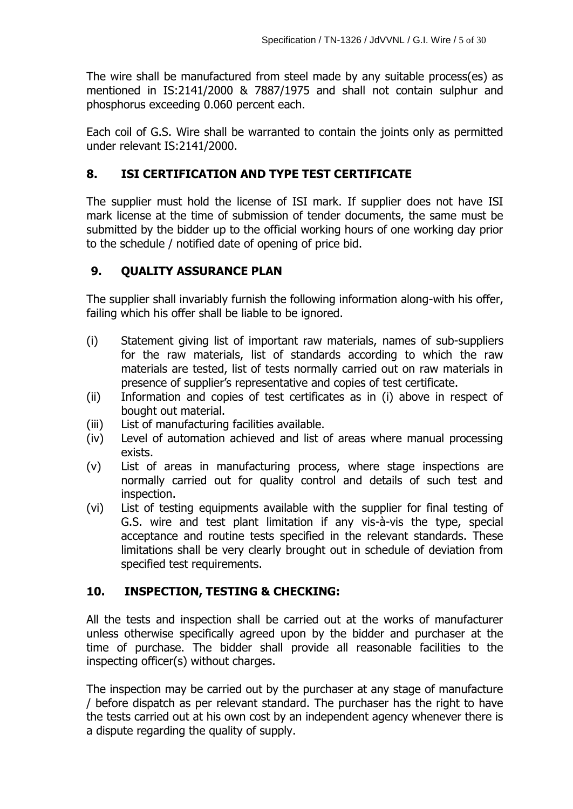The wire shall be manufactured from steel made by any suitable process(es) as mentioned in IS:2141/2000 & 7887/1975 and shall not contain sulphur and phosphorus exceeding 0.060 percent each.

Each coil of G.S. Wire shall be warranted to contain the joints only as permitted under relevant IS:2141/2000.

# **8. ISI CERTIFICATION AND TYPE TEST CERTIFICATE**

The supplier must hold the license of ISI mark. If supplier does not have ISI mark license at the time of submission of tender documents, the same must be submitted by the bidder up to the official working hours of one working day prior to the schedule / notified date of opening of price bid.

# **9. QUALITY ASSURANCE PLAN**

The supplier shall invariably furnish the following information along-with his offer, failing which his offer shall be liable to be ignored.

- (i) Statement giving list of important raw materials, names of sub-suppliers for the raw materials, list of standards according to which the raw materials are tested, list of tests normally carried out on raw materials in presence of supplier"s representative and copies of test certificate.
- (ii) Information and copies of test certificates as in (i) above in respect of bought out material.
- (iii) List of manufacturing facilities available.
- (iv) Level of automation achieved and list of areas where manual processing exists.
- (v) List of areas in manufacturing process, where stage inspections are normally carried out for quality control and details of such test and inspection.
- (vi) List of testing equipments available with the supplier for final testing of G.S. wire and test plant limitation if any vis-à-vis the type, special acceptance and routine tests specified in the relevant standards. These limitations shall be very clearly brought out in schedule of deviation from specified test requirements.

# **10. INSPECTION, TESTING & CHECKING:**

All the tests and inspection shall be carried out at the works of manufacturer unless otherwise specifically agreed upon by the bidder and purchaser at the time of purchase. The bidder shall provide all reasonable facilities to the inspecting officer(s) without charges.

The inspection may be carried out by the purchaser at any stage of manufacture / before dispatch as per relevant standard. The purchaser has the right to have the tests carried out at his own cost by an independent agency whenever there is a dispute regarding the quality of supply.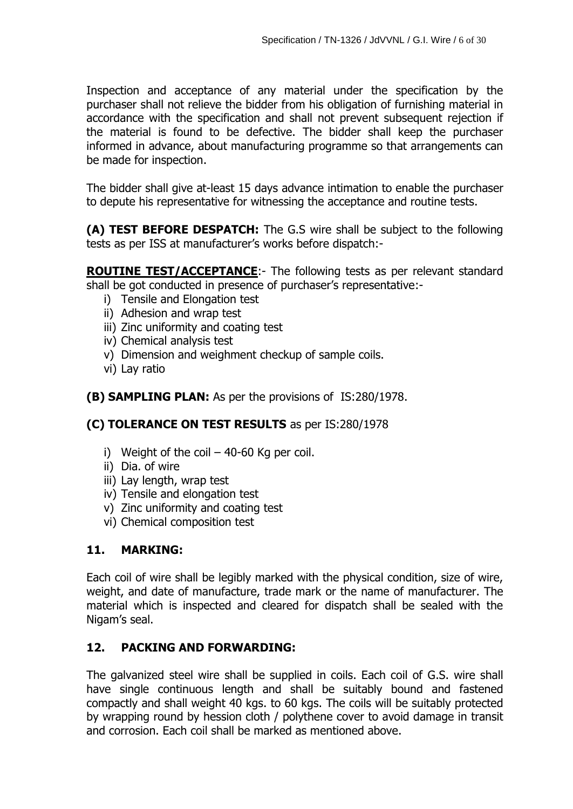Inspection and acceptance of any material under the specification by the purchaser shall not relieve the bidder from his obligation of furnishing material in accordance with the specification and shall not prevent subsequent rejection if the material is found to be defective. The bidder shall keep the purchaser informed in advance, about manufacturing programme so that arrangements can be made for inspection.

The bidder shall give at-least 15 days advance intimation to enable the purchaser to depute his representative for witnessing the acceptance and routine tests.

**(A) TEST BEFORE DESPATCH:** The G.S wire shall be subject to the following tests as per ISS at manufacturer"s works before dispatch:-

**ROUTINE TEST/ACCEPTANCE:**- The following tests as per relevant standard shall be got conducted in presence of purchaser's representative:-

- i) Tensile and Elongation test
- ii) Adhesion and wrap test
- iii) Zinc uniformity and coating test
- iv) Chemical analysis test
- v) Dimension and weighment checkup of sample coils.
- vi) Lay ratio
- **(B) SAMPLING PLAN:** As per the provisions of IS:280/1978.

## **(C) TOLERANCE ON TEST RESULTS** as per IS:280/1978

- i) Weight of the coil  $-40-60$  Kg per coil.
- ii) Dia. of wire
- iii) Lay length, wrap test
- iv) Tensile and elongation test
- v) Zinc uniformity and coating test
- vi) Chemical composition test

## **11. MARKING:**

Each coil of wire shall be legibly marked with the physical condition, size of wire, weight, and date of manufacture, trade mark or the name of manufacturer. The material which is inspected and cleared for dispatch shall be sealed with the Nigam"s seal.

## **12. PACKING AND FORWARDING:**

The galvanized steel wire shall be supplied in coils. Each coil of G.S. wire shall have single continuous length and shall be suitably bound and fastened compactly and shall weight 40 kgs. to 60 kgs. The coils will be suitably protected by wrapping round by hession cloth / polythene cover to avoid damage in transit and corrosion. Each coil shall be marked as mentioned above.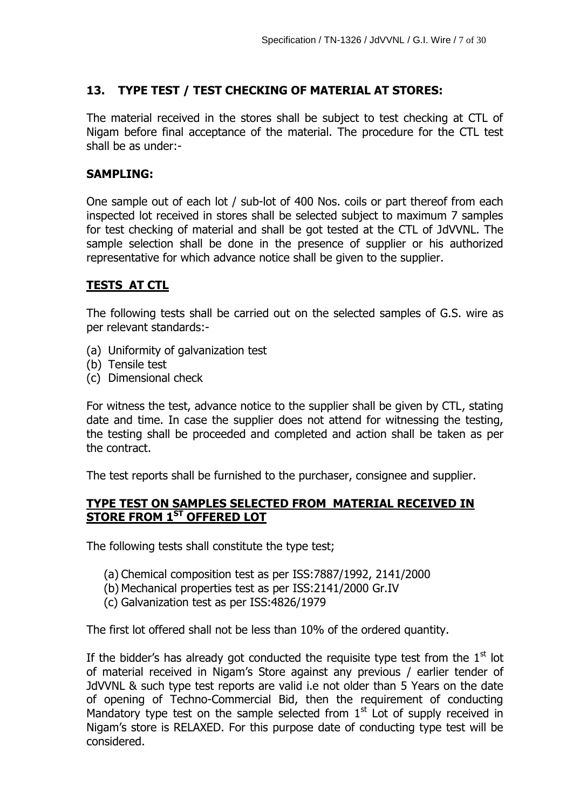# **13. TYPE TEST / TEST CHECKING OF MATERIAL AT STORES:**

The material received in the stores shall be subject to test checking at CTL of Nigam before final acceptance of the material. The procedure for the CTL test shall be as under:-

## **SAMPLING:**

One sample out of each lot / sub-lot of 400 Nos. coils or part thereof from each inspected lot received in stores shall be selected subject to maximum 7 samples for test checking of material and shall be got tested at the CTL of JdVVNL. The sample selection shall be done in the presence of supplier or his authorized representative for which advance notice shall be given to the supplier.

## **TESTS AT CTL**

The following tests shall be carried out on the selected samples of G.S. wire as per relevant standards:-

- (a) Uniformity of galvanization test
- (b) Tensile test
- (c) Dimensional check

For witness the test, advance notice to the supplier shall be given by CTL, stating date and time. In case the supplier does not attend for witnessing the testing, the testing shall be proceeded and completed and action shall be taken as per the contract.

The test reports shall be furnished to the purchaser, consignee and supplier.

## **TYPE TEST ON SAMPLES SELECTED FROM MATERIAL RECEIVED IN STORE FROM 1ST OFFERED LOT**

The following tests shall constitute the type test;

- (a) Chemical composition test as per ISS:7887/1992, 2141/2000
- (b) Mechanical properties test as per ISS:2141/2000 Gr.IV
- (c) Galvanization test as per ISS:4826/1979

The first lot offered shall not be less than 10% of the ordered quantity.

If the bidder's has already got conducted the requisite type test from the  $1<sup>st</sup>$  lot of material received in Nigam"s Store against any previous / earlier tender of JdVVNL & such type test reports are valid i.e not older than 5 Years on the date of opening of Techno-Commercial Bid, then the requirement of conducting Mandatory type test on the sample selected from  $1<sup>st</sup>$  Lot of supply received in Nigam"s store is RELAXED. For this purpose date of conducting type test will be considered.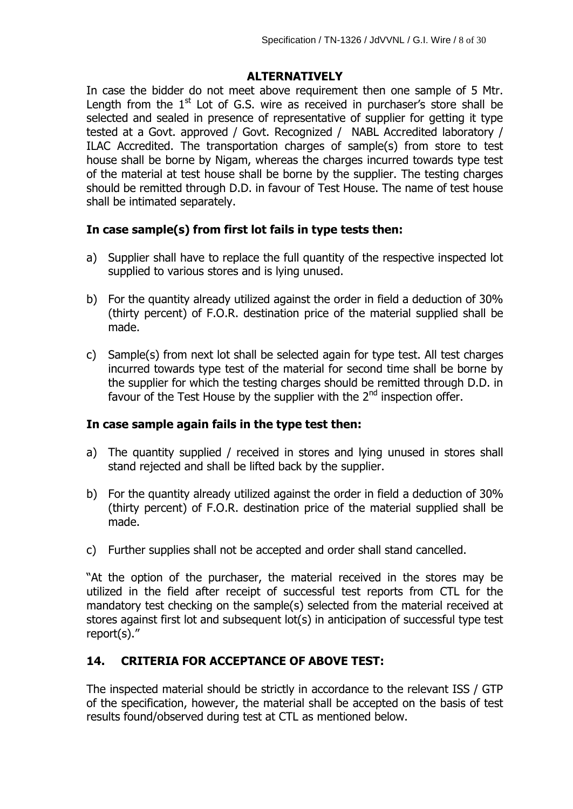## **ALTERNATIVELY**

In case the bidder do not meet above requirement then one sample of 5 Mtr. Length from the  $1<sup>st</sup>$  Lot of G.S. wire as received in purchaser's store shall be selected and sealed in presence of representative of supplier for getting it type tested at a Govt. approved / Govt. Recognized / NABL Accredited laboratory / ILAC Accredited. The transportation charges of sample(s) from store to test house shall be borne by Nigam, whereas the charges incurred towards type test of the material at test house shall be borne by the supplier. The testing charges should be remitted through D.D. in favour of Test House. The name of test house shall be intimated separately.

## **In case sample(s) from first lot fails in type tests then:**

- a) Supplier shall have to replace the full quantity of the respective inspected lot supplied to various stores and is lying unused.
- b) For the quantity already utilized against the order in field a deduction of 30% (thirty percent) of F.O.R. destination price of the material supplied shall be made.
- c) Sample(s) from next lot shall be selected again for type test. All test charges incurred towards type test of the material for second time shall be borne by the supplier for which the testing charges should be remitted through D.D. in favour of the Test House by the supplier with the  $2<sup>nd</sup>$  inspection offer.

## **In case sample again fails in the type test then:**

- a) The quantity supplied / received in stores and lying unused in stores shall stand rejected and shall be lifted back by the supplier.
- b) For the quantity already utilized against the order in field a deduction of 30% (thirty percent) of F.O.R. destination price of the material supplied shall be made.
- c) Further supplies shall not be accepted and order shall stand cancelled.

"At the option of the purchaser, the material received in the stores may be utilized in the field after receipt of successful test reports from CTL for the mandatory test checking on the sample(s) selected from the material received at stores against first lot and subsequent lot(s) in anticipation of successful type test report(s)."

# **14. CRITERIA FOR ACCEPTANCE OF ABOVE TEST:**

The inspected material should be strictly in accordance to the relevant ISS / GTP of the specification, however, the material shall be accepted on the basis of test results found/observed during test at CTL as mentioned below.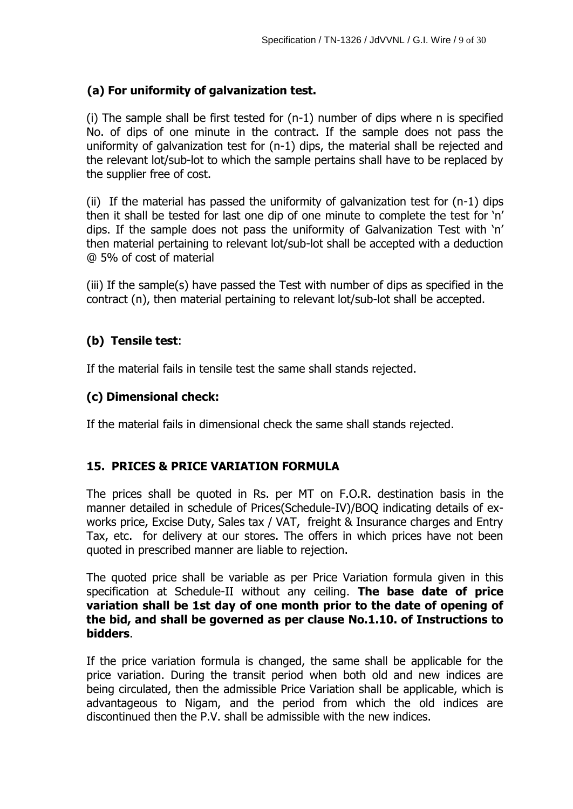## **(a) For uniformity of galvanization test.**

(i) The sample shall be first tested for (n-1) number of dips where n is specified No. of dips of one minute in the contract. If the sample does not pass the uniformity of galvanization test for (n-1) dips, the material shall be rejected and the relevant lot/sub-lot to which the sample pertains shall have to be replaced by the supplier free of cost.

(ii) If the material has passed the uniformity of galvanization test for  $(n-1)$  dips then it shall be tested for last one dip of one minute to complete the test for "n" dips. If the sample does not pass the uniformity of Galvanization Test with "n" then material pertaining to relevant lot/sub-lot shall be accepted with a deduction @ 5% of cost of material

(iii) If the sample(s) have passed the Test with number of dips as specified in the contract (n), then material pertaining to relevant lot/sub-lot shall be accepted.

## **(b) Tensile test**:

If the material fails in tensile test the same shall stands rejected.

## **(c) Dimensional check:**

If the material fails in dimensional check the same shall stands rejected.

# **15. PRICES & PRICE VARIATION FORMULA**

The prices shall be quoted in Rs. per MT on F.O.R. destination basis in the manner detailed in schedule of Prices(Schedule-IV)/BOQ indicating details of exworks price, Excise Duty, Sales tax / VAT, freight & Insurance charges and Entry Tax, etc. for delivery at our stores. The offers in which prices have not been quoted in prescribed manner are liable to rejection.

The quoted price shall be variable as per Price Variation formula given in this specification at Schedule-II without any ceiling. **The base date of price variation shall be 1st day of one month prior to the date of opening of the bid, and shall be governed as per clause No.1.10. of Instructions to bidders**.

If the price variation formula is changed, the same shall be applicable for the price variation. During the transit period when both old and new indices are being circulated, then the admissible Price Variation shall be applicable, which is advantageous to Nigam, and the period from which the old indices are discontinued then the P.V. shall be admissible with the new indices.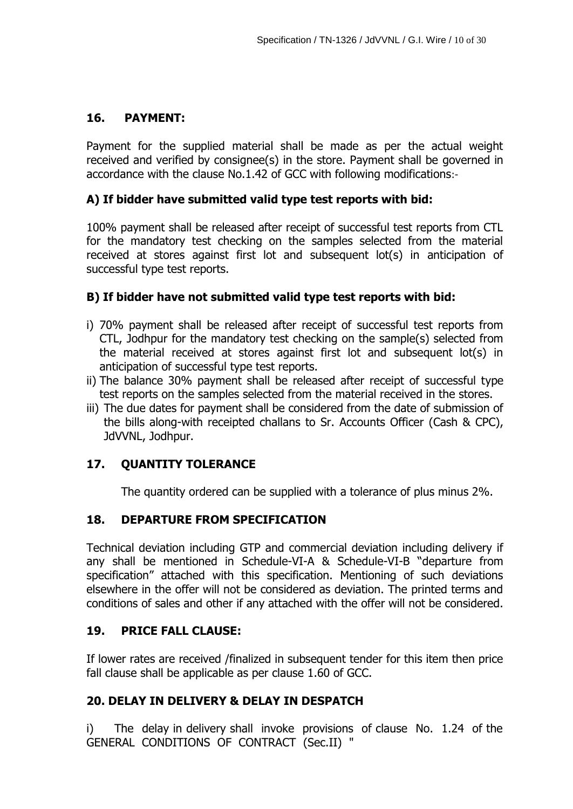## **16. PAYMENT:**

Payment for the supplied material shall be made as per the actual weight received and verified by consignee(s) in the store. Payment shall be governed in accordance with the clause No.1.42 of GCC with following modifications:-

## **A) If bidder have submitted valid type test reports with bid:**

100% payment shall be released after receipt of successful test reports from CTL for the mandatory test checking on the samples selected from the material received at stores against first lot and subsequent lot(s) in anticipation of successful type test reports.

## **B) If bidder have not submitted valid type test reports with bid:**

- i) 70% payment shall be released after receipt of successful test reports from CTL, Jodhpur for the mandatory test checking on the sample(s) selected from the material received at stores against first lot and subsequent lot(s) in anticipation of successful type test reports.
- ii) The balance 30% payment shall be released after receipt of successful type test reports on the samples selected from the material received in the stores.
- iii) The due dates for payment shall be considered from the date of submission of the bills along-with receipted challans to Sr. Accounts Officer (Cash & CPC), JdVVNL, Jodhpur.

## **17. QUANTITY TOLERANCE**

The quantity ordered can be supplied with a tolerance of plus minus 2%.

#### **18. DEPARTURE FROM SPECIFICATION**

Technical deviation including GTP and commercial deviation including delivery if any shall be mentioned in Schedule-VI-A & Schedule-VI-B "departure from specification" attached with this specification. Mentioning of such deviations elsewhere in the offer will not be considered as deviation. The printed terms and conditions of sales and other if any attached with the offer will not be considered.

#### **19. PRICE FALL CLAUSE:**

If lower rates are received /finalized in subsequent tender for this item then price fall clause shall be applicable as per clause 1.60 of GCC.

## **20. DELAY IN DELIVERY & DELAY IN DESPATCH**

i) The delay in delivery shall invoke provisions of clause No. 1.24 of the GENERAL CONDITIONS OF CONTRACT (Sec.II) "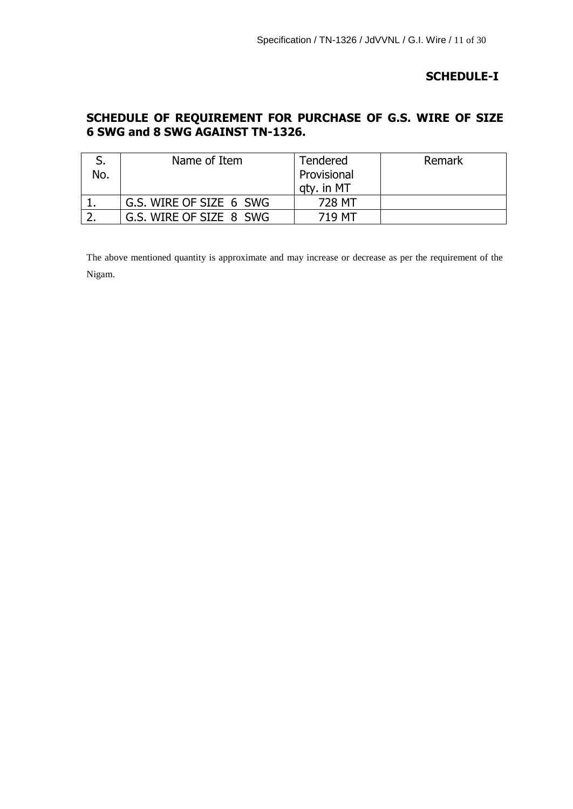## **SCHEDULE-I**

## **SCHEDULE OF REQUIREMENT FOR PURCHASE OF G.S. WIRE OF SIZE 6 SWG and 8 SWG AGAINST TN-1326.**

|     | Name of Item            | <b>Tendered</b> | Remark |
|-----|-------------------------|-----------------|--------|
| No. |                         | Provisional     |        |
|     |                         | atv. in MT      |        |
|     | G.S. WIRE OF SIZE 6 SWG | 728 MT          |        |
|     | G.S. WIRE OF SIZE 8 SWG | 719 MT          |        |

The above mentioned quantity is approximate and may increase or decrease as per the requirement of the Nigam.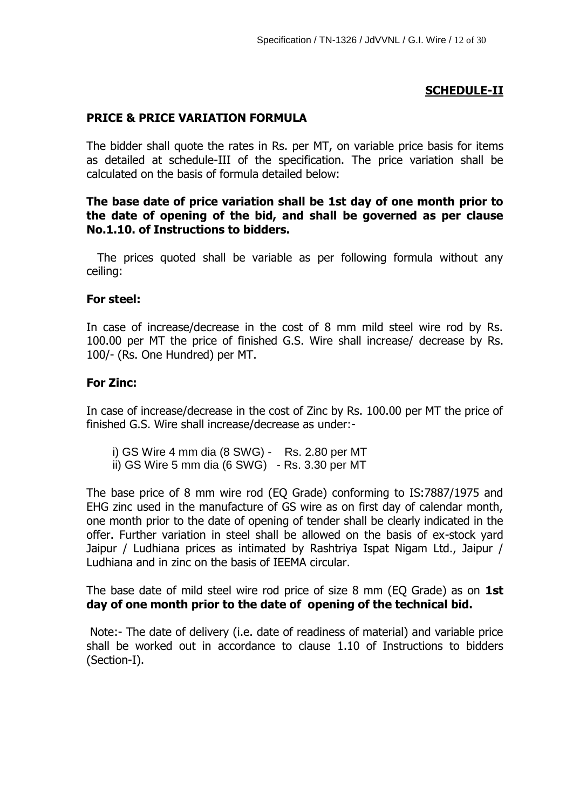## **SCHEDULE-II**

#### **PRICE & PRICE VARIATION FORMULA**

The bidder shall quote the rates in Rs. per MT, on variable price basis for items as detailed at schedule-III of the specification. The price variation shall be calculated on the basis of formula detailed below:

#### **The base date of price variation shall be 1st day of one month prior to the date of opening of the bid, and shall be governed as per clause No.1.10. of Instructions to bidders.**

 The prices quoted shall be variable as per following formula without any ceiling:

#### **For steel:**

In case of increase/decrease in the cost of 8 mm mild steel wire rod by Rs. 100.00 per MT the price of finished G.S. Wire shall increase/ decrease by Rs. 100/- (Rs. One Hundred) per MT.

#### **For Zinc:**

In case of increase/decrease in the cost of Zinc by Rs. 100.00 per MT the price of finished G.S. Wire shall increase/decrease as under:-

i) GS Wire 4 mm dia (8 SWG) - Rs. 2.80 per MT ii) GS Wire 5 mm dia (6 SWG) - Rs. 3.30 per MT

The base price of 8 mm wire rod (EQ Grade) conforming to IS:7887/1975 and EHG zinc used in the manufacture of GS wire as on first day of calendar month, one month prior to the date of opening of tender shall be clearly indicated in the offer. Further variation in steel shall be allowed on the basis of ex-stock yard Jaipur / Ludhiana prices as intimated by Rashtriya Ispat Nigam Ltd., Jaipur / Ludhiana and in zinc on the basis of IEEMA circular.

The base date of mild steel wire rod price of size 8 mm (EQ Grade) as on **1st day of one month prior to the date of opening of the technical bid.**

Note:- The date of delivery (i.e. date of readiness of material) and variable price shall be worked out in accordance to clause 1.10 of Instructions to bidders (Section-I).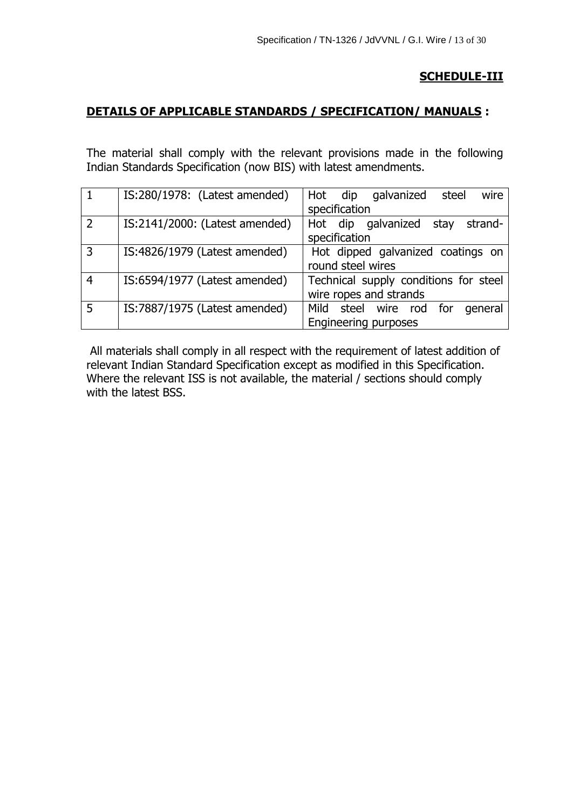## **SCHEDULE-III**

## **DETAILS OF APPLICABLE STANDARDS / SPECIFICATION/ MANUALS :**

The material shall comply with the relevant provisions made in the following Indian Standards Specification (now BIS) with latest amendments.

|   | IS:280/1978: (Latest amended)  | wire<br>Hot dip galvanized<br>steel   |
|---|--------------------------------|---------------------------------------|
|   |                                | specification                         |
|   | IS:2141/2000: (Latest amended) | Hot dip galvanized<br>strand-<br>stay |
|   |                                | specification                         |
| 3 | IS:4826/1979 (Latest amended)  | Hot dipped galvanized coatings on     |
|   |                                | round steel wires                     |
|   | IS:6594/1977 (Latest amended)  | Technical supply conditions for steel |
|   |                                | wire ropes and strands                |
| 5 | IS:7887/1975 (Latest amended)  | Mild steel wire rod<br>for<br>general |
|   |                                | <b>Engineering purposes</b>           |

All materials shall comply in all respect with the requirement of latest addition of relevant Indian Standard Specification except as modified in this Specification. Where the relevant ISS is not available, the material / sections should comply with the latest BSS.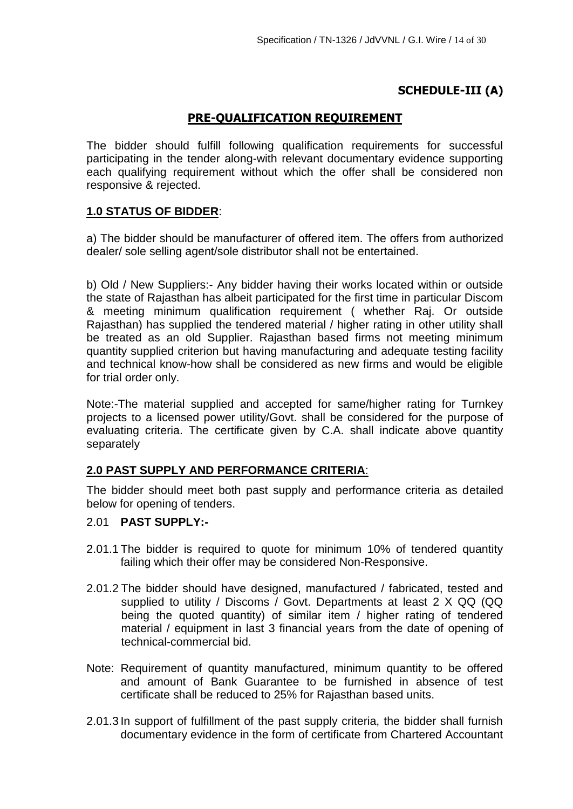# **SCHEDULE-III (A)**

## **PRE-QUALIFICATION REQUIREMENT**

The bidder should fulfill following qualification requirements for successful participating in the tender along-with relevant documentary evidence supporting each qualifying requirement without which the offer shall be considered non responsive & rejected.

## **1.0 STATUS OF BIDDER**:

a) The bidder should be manufacturer of offered item. The offers from authorized dealer/ sole selling agent/sole distributor shall not be entertained.

b) Old / New Suppliers:- Any bidder having their works located within or outside the state of Rajasthan has albeit participated for the first time in particular Discom & meeting minimum qualification requirement ( whether Raj. Or outside Rajasthan) has supplied the tendered material / higher rating in other utility shall be treated as an old Supplier. Rajasthan based firms not meeting minimum quantity supplied criterion but having manufacturing and adequate testing facility and technical know-how shall be considered as new firms and would be eligible for trial order only.

Note:-The material supplied and accepted for same/higher rating for Turnkey projects to a licensed power utility/Govt. shall be considered for the purpose of evaluating criteria. The certificate given by C.A. shall indicate above quantity separately

#### **2.0 PAST SUPPLY AND PERFORMANCE CRITERIA**:

The bidder should meet both past supply and performance criteria as detailed below for opening of tenders.

## 2.01 **PAST SUPPLY:-**

- 2.01.1 The bidder is required to quote for minimum 10% of tendered quantity failing which their offer may be considered Non-Responsive.
- 2.01.2 The bidder should have designed, manufactured / fabricated, tested and supplied to utility / Discoms / Govt. Departments at least 2 X QQ (QQ being the quoted quantity) of similar item / higher rating of tendered material / equipment in last 3 financial years from the date of opening of technical-commercial bid.
- Note: Requirement of quantity manufactured, minimum quantity to be offered and amount of Bank Guarantee to be furnished in absence of test certificate shall be reduced to 25% for Rajasthan based units.
- 2.01.3 In support of fulfillment of the past supply criteria, the bidder shall furnish documentary evidence in the form of certificate from Chartered Accountant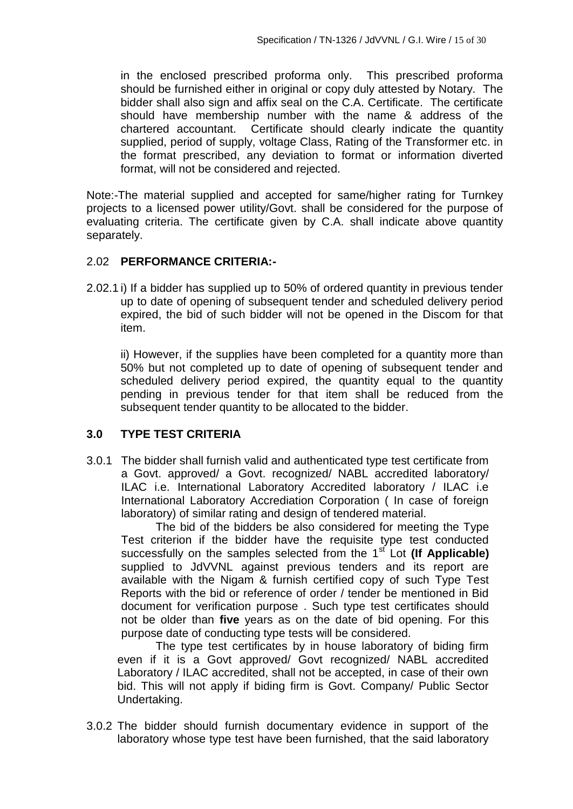in the enclosed prescribed proforma only. This prescribed proforma should be furnished either in original or copy duly attested by Notary. The bidder shall also sign and affix seal on the C.A. Certificate. The certificate should have membership number with the name & address of the chartered accountant. Certificate should clearly indicate the quantity supplied, period of supply, voltage Class, Rating of the Transformer etc. in the format prescribed, any deviation to format or information diverted format, will not be considered and rejected.

Note:-The material supplied and accepted for same/higher rating for Turnkey projects to a licensed power utility/Govt. shall be considered for the purpose of evaluating criteria. The certificate given by C.A. shall indicate above quantity separately.

#### 2.02 **PERFORMANCE CRITERIA:-**

2.02.1 i) If a bidder has supplied up to 50% of ordered quantity in previous tender up to date of opening of subsequent tender and scheduled delivery period expired, the bid of such bidder will not be opened in the Discom for that item.

ii) However, if the supplies have been completed for a quantity more than 50% but not completed up to date of opening of subsequent tender and scheduled delivery period expired, the quantity equal to the quantity pending in previous tender for that item shall be reduced from the subsequent tender quantity to be allocated to the bidder.

#### **3.0 TYPE TEST CRITERIA**

3.0.1 The bidder shall furnish valid and authenticated type test certificate from a Govt. approved/ a Govt. recognized/ NABL accredited laboratory/ ILAC i.e. International Laboratory Accredited laboratory / ILAC i.e International Laboratory Accrediation Corporation ( In case of foreign laboratory) of similar rating and design of tendered material.

The bid of the bidders be also considered for meeting the Type Test criterion if the bidder have the requisite type test conducted successfully on the samples selected from the 1<sup>st</sup> Lot **(If Applicable)** supplied to JdVVNL against previous tenders and its report are available with the Nigam & furnish certified copy of such Type Test Reports with the bid or reference of order / tender be mentioned in Bid document for verification purpose . Such type test certificates should not be older than **five** years as on the date of bid opening. For this purpose date of conducting type tests will be considered.

The type test certificates by in house laboratory of biding firm even if it is a Govt approved/ Govt recognized/ NABL accredited Laboratory / ILAC accredited, shall not be accepted, in case of their own bid. This will not apply if biding firm is Govt. Company/ Public Sector Undertaking.

3.0.2 The bidder should furnish documentary evidence in support of the laboratory whose type test have been furnished, that the said laboratory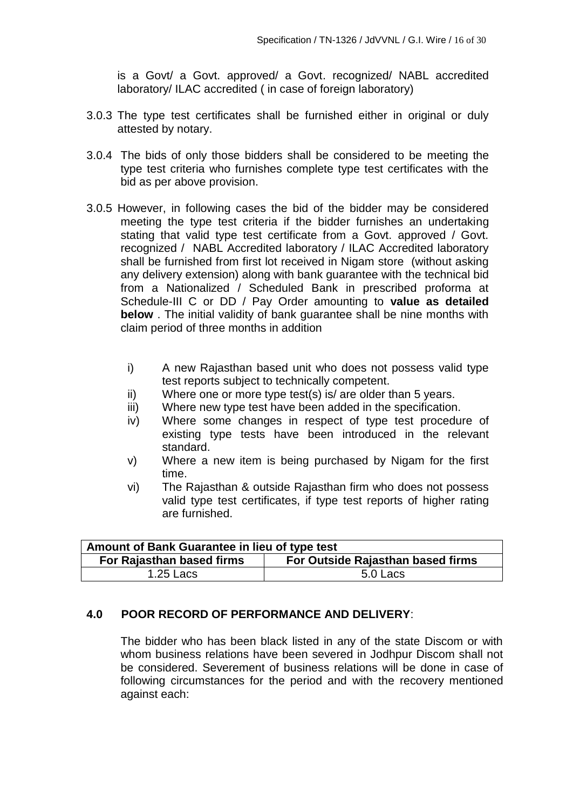is a Govt/ a Govt. approved/ a Govt. recognized/ NABL accredited laboratory/ ILAC accredited ( in case of foreign laboratory)

- 3.0.3 The type test certificates shall be furnished either in original or duly attested by notary.
- 3.0.4 The bids of only those bidders shall be considered to be meeting the type test criteria who furnishes complete type test certificates with the bid as per above provision.
- 3.0.5 However, in following cases the bid of the bidder may be considered meeting the type test criteria if the bidder furnishes an undertaking stating that valid type test certificate from a Govt. approved / Govt. recognized / NABL Accredited laboratory / ILAC Accredited laboratory shall be furnished from first lot received in Nigam store (without asking any delivery extension) along with bank guarantee with the technical bid from a Nationalized / Scheduled Bank in prescribed proforma at Schedule-III C or DD / Pay Order amounting to **value as detailed below** . The initial validity of bank guarantee shall be nine months with claim period of three months in addition
	- i) A new Rajasthan based unit who does not possess valid type test reports subject to technically competent.
	- ii) Where one or more type test(s) is/ are older than 5 years.
	- iii) Where new type test have been added in the specification.
	- iv) Where some changes in respect of type test procedure of existing type tests have been introduced in the relevant standard.
	- v) Where a new item is being purchased by Nigam for the first time.
	- vi) The Rajasthan & outside Rajasthan firm who does not possess valid type test certificates, if type test reports of higher rating are furnished.

| Amount of Bank Guarantee in lieu of type test                  |  |  |
|----------------------------------------------------------------|--|--|
| For Rajasthan based firms<br>For Outside Rajasthan based firms |  |  |
| $1.25$ Lacs<br>5.0 Lacs                                        |  |  |

## **4.0 POOR RECORD OF PERFORMANCE AND DELIVERY**:

The bidder who has been black listed in any of the state Discom or with whom business relations have been severed in Jodhpur Discom shall not be considered. Severement of business relations will be done in case of following circumstances for the period and with the recovery mentioned against each: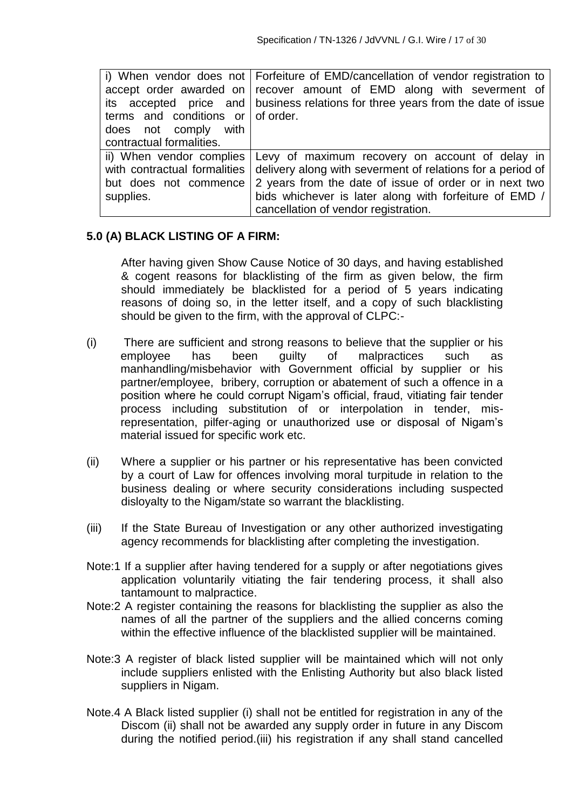|                                   | i) When vendor does not   Forfeiture of EMD/cancellation of vendor registration to |
|-----------------------------------|------------------------------------------------------------------------------------|
|                                   | accept order awarded on recover amount of EMD along with severment of              |
| its accepted price and            | business relations for three years from the date of issue                          |
| terms and conditions or of order. |                                                                                    |
| does not comply with              |                                                                                    |
| contractual formalities.          |                                                                                    |
| ii) When vendor complies          | Levy of maximum recovery on account of delay in                                    |
| with contractual formalities      | delivery along with severment of relations for a period of                         |
| but does not commence             | 2 years from the date of issue of order or in next two                             |
| supplies.                         | bids whichever is later along with forfeiture of EMD /                             |
|                                   | cancellation of vendor registration.                                               |

#### **5.0 (A) BLACK LISTING OF A FIRM:**

After having given Show Cause Notice of 30 days, and having established & cogent reasons for blacklisting of the firm as given below, the firm should immediately be blacklisted for a period of 5 years indicating reasons of doing so, in the letter itself, and a copy of such blacklisting should be given to the firm, with the approval of CLPC:-

- (i) There are sufficient and strong reasons to believe that the supplier or his employee has been guilty of malpractices such as manhandling/misbehavior with Government official by supplier or his partner/employee, bribery, corruption or abatement of such a offence in a position where he could corrupt Nigam's official, fraud, vitiating fair tender process including substitution of or interpolation in tender, misrepresentation, pilfer-aging or unauthorized use or disposal of Nigam's material issued for specific work etc.
- (ii) Where a supplier or his partner or his representative has been convicted by a court of Law for offences involving moral turpitude in relation to the business dealing or where security considerations including suspected disloyalty to the Nigam/state so warrant the blacklisting.
- (iii) If the State Bureau of Investigation or any other authorized investigating agency recommends for blacklisting after completing the investigation.
- Note:1 If a supplier after having tendered for a supply or after negotiations gives application voluntarily vitiating the fair tendering process, it shall also tantamount to malpractice.
- Note:2 A register containing the reasons for blacklisting the supplier as also the names of all the partner of the suppliers and the allied concerns coming within the effective influence of the blacklisted supplier will be maintained.
- Note:3 A register of black listed supplier will be maintained which will not only include suppliers enlisted with the Enlisting Authority but also black listed suppliers in Nigam.
- Note.4 A Black listed supplier (i) shall not be entitled for registration in any of the Discom (ii) shall not be awarded any supply order in future in any Discom during the notified period.(iii) his registration if any shall stand cancelled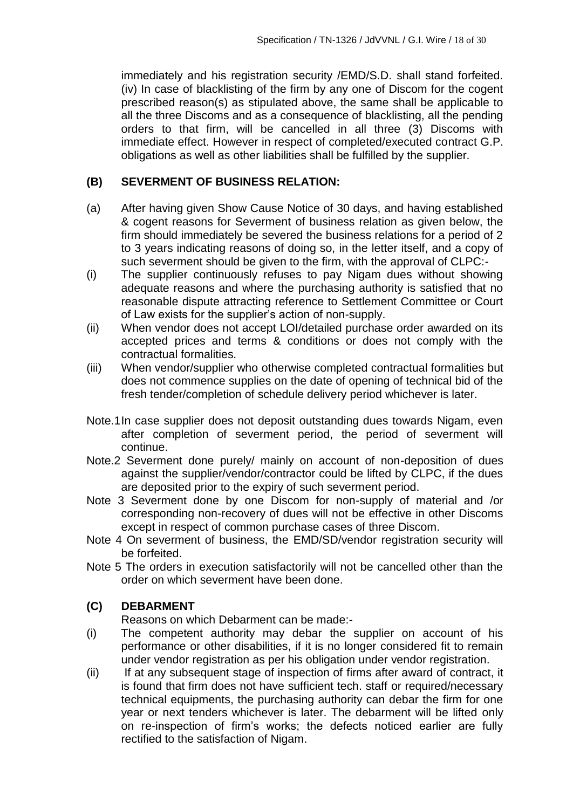immediately and his registration security /EMD/S.D. shall stand forfeited. (iv) In case of blacklisting of the firm by any one of Discom for the cogent prescribed reason(s) as stipulated above, the same shall be applicable to all the three Discoms and as a consequence of blacklisting, all the pending orders to that firm, will be cancelled in all three (3) Discoms with immediate effect. However in respect of completed/executed contract G.P. obligations as well as other liabilities shall be fulfilled by the supplier.

#### **(B) SEVERMENT OF BUSINESS RELATION:**

- (a) After having given Show Cause Notice of 30 days, and having established & cogent reasons for Severment of business relation as given below, the firm should immediately be severed the business relations for a period of 2 to 3 years indicating reasons of doing so, in the letter itself, and a copy of such severment should be given to the firm, with the approval of CLPC:-
- (i) The supplier continuously refuses to pay Nigam dues without showing adequate reasons and where the purchasing authority is satisfied that no reasonable dispute attracting reference to Settlement Committee or Court of Law exists for the supplier's action of non-supply.
- (ii) When vendor does not accept LOI/detailed purchase order awarded on its accepted prices and terms & conditions or does not comply with the contractual formalities.
- (iii) When vendor/supplier who otherwise completed contractual formalities but does not commence supplies on the date of opening of technical bid of the fresh tender/completion of schedule delivery period whichever is later.
- Note.1In case supplier does not deposit outstanding dues towards Nigam, even after completion of severment period, the period of severment will continue.
- Note.2 Severment done purely/ mainly on account of non-deposition of dues against the supplier/vendor/contractor could be lifted by CLPC, if the dues are deposited prior to the expiry of such severment period.
- Note 3 Severment done by one Discom for non-supply of material and /or corresponding non-recovery of dues will not be effective in other Discoms except in respect of common purchase cases of three Discom.
- Note 4 On severment of business, the EMD/SD/vendor registration security will be forfeited.
- Note 5 The orders in execution satisfactorily will not be cancelled other than the order on which severment have been done.

## **(C) DEBARMENT**

Reasons on which Debarment can be made:-

- (i) The competent authority may debar the supplier on account of his performance or other disabilities, if it is no longer considered fit to remain under vendor registration as per his obligation under vendor registration.
- (ii) If at any subsequent stage of inspection of firms after award of contract, it is found that firm does not have sufficient tech. staff or required/necessary technical equipments, the purchasing authority can debar the firm for one year or next tenders whichever is later. The debarment will be lifted only on re-inspection of firm's works; the defects noticed earlier are fully rectified to the satisfaction of Nigam.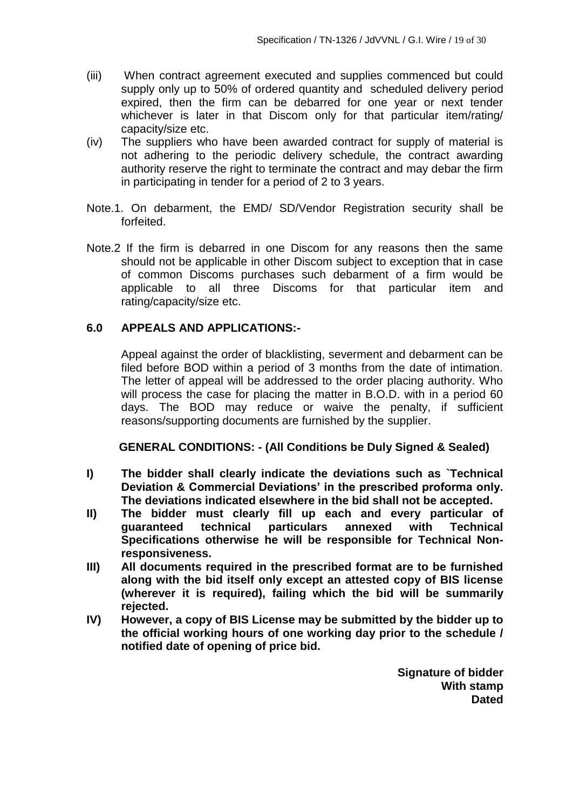- (iii) When contract agreement executed and supplies commenced but could supply only up to 50% of ordered quantity and scheduled delivery period expired, then the firm can be debarred for one year or next tender whichever is later in that Discom only for that particular item/rating/ capacity/size etc.
- (iv) The suppliers who have been awarded contract for supply of material is not adhering to the periodic delivery schedule, the contract awarding authority reserve the right to terminate the contract and may debar the firm in participating in tender for a period of 2 to 3 years.
- Note.1. On debarment, the EMD/ SD/Vendor Registration security shall be forfeited.
- Note.2 If the firm is debarred in one Discom for any reasons then the same should not be applicable in other Discom subject to exception that in case of common Discoms purchases such debarment of a firm would be applicable to all three Discoms for that particular item and rating/capacity/size etc.

#### **6.0 APPEALS AND APPLICATIONS:-**

Appeal against the order of blacklisting, severment and debarment can be filed before BOD within a period of 3 months from the date of intimation. The letter of appeal will be addressed to the order placing authority. Who will process the case for placing the matter in B.O.D. with in a period 60 days. The BOD may reduce or waive the penalty, if sufficient reasons/supporting documents are furnished by the supplier.

#### **GENERAL CONDITIONS: - (All Conditions be Duly Signed & Sealed)**

- **I) The bidder shall clearly indicate the deviations such as `Technical Deviation & Commercial Deviations' in the prescribed proforma only. The deviations indicated elsewhere in the bid shall not be accepted.**
- **II) The bidder must clearly fill up each and every particular of guaranteed technical particulars annexed with Technical Specifications otherwise he will be responsible for Technical Nonresponsiveness.**
- **III) All documents required in the prescribed format are to be furnished along with the bid itself only except an attested copy of BIS license (wherever it is required), failing which the bid will be summarily rejected.**
- **IV) However, a copy of BIS License may be submitted by the bidder up to the official working hours of one working day prior to the schedule / notified date of opening of price bid.**

**Signature of bidder With stamp Dated**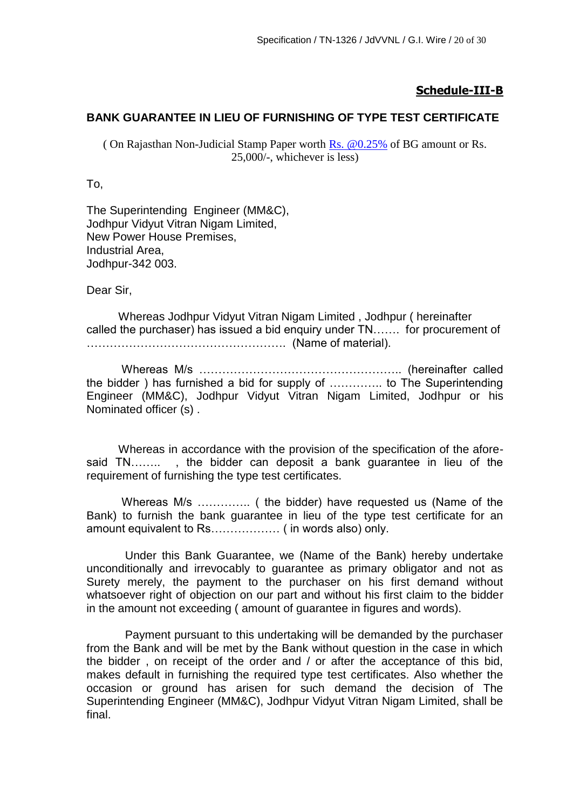#### **Schedule-III-B**

#### **BANK GUARANTEE IN LIEU OF FURNISHING OF TYPE TEST CERTIFICATE**

( On Rajasthan Non-Judicial Stamp Paper worth Rs.  $@0.25\%$  of BG amount or Rs. 25,000/-, whichever is less)

To,

The Superintending Engineer (MM&C), Jodhpur Vidyut Vitran Nigam Limited, New Power House Premises, Industrial Area, Jodhpur-342 003.

Dear Sir,

 Whereas Jodhpur Vidyut Vitran Nigam Limited , Jodhpur ( hereinafter called the purchaser) has issued a bid enquiry under TN……. for procurement of ……………………………………………. (Name of material).

 Whereas M/s …………………………………………….. (hereinafter called the bidder ) has furnished a bid for supply of ………….. to The Superintending Engineer (MM&C), Jodhpur Vidyut Vitran Nigam Limited, Jodhpur or his Nominated officer (s) .

 Whereas in accordance with the provision of the specification of the aforesaid TN…….. , the bidder can deposit a bank guarantee in lieu of the requirement of furnishing the type test certificates.

 Whereas M/s ………….. ( the bidder) have requested us (Name of the Bank) to furnish the bank guarantee in lieu of the type test certificate for an amount equivalent to Rs……………… ( in words also) only.

 Under this Bank Guarantee, we (Name of the Bank) hereby undertake unconditionally and irrevocably to guarantee as primary obligator and not as Surety merely, the payment to the purchaser on his first demand without whatsoever right of objection on our part and without his first claim to the bidder in the amount not exceeding ( amount of guarantee in figures and words).

 Payment pursuant to this undertaking will be demanded by the purchaser from the Bank and will be met by the Bank without question in the case in which the bidder , on receipt of the order and / or after the acceptance of this bid, makes default in furnishing the required type test certificates. Also whether the occasion or ground has arisen for such demand the decision of The Superintending Engineer (MM&C), Jodhpur Vidyut Vitran Nigam Limited, shall be final.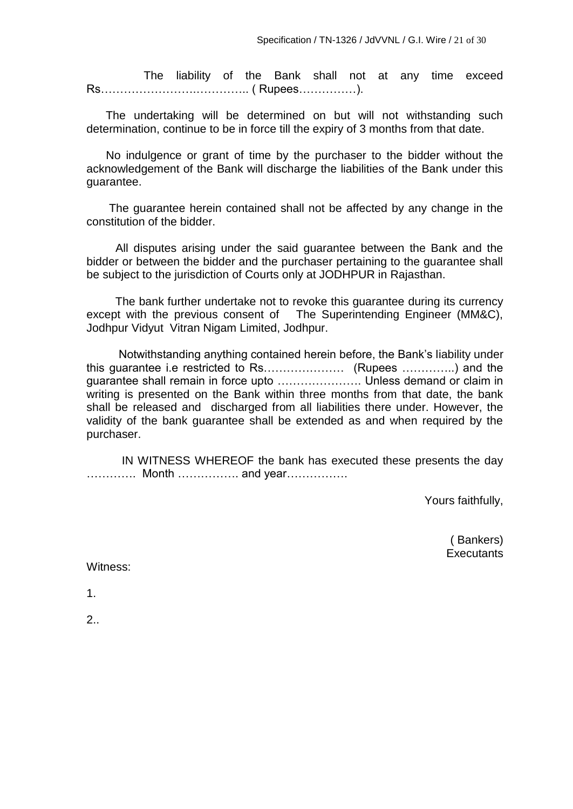The liability of the Bank shall not at any time exceed Rs…………………….………….. ( Rupees……………).

 The undertaking will be determined on but will not withstanding such determination, continue to be in force till the expiry of 3 months from that date.

 No indulgence or grant of time by the purchaser to the bidder without the acknowledgement of the Bank will discharge the liabilities of the Bank under this guarantee.

 The guarantee herein contained shall not be affected by any change in the constitution of the bidder.

 All disputes arising under the said guarantee between the Bank and the bidder or between the bidder and the purchaser pertaining to the guarantee shall be subject to the jurisdiction of Courts only at JODHPUR in Rajasthan.

 The bank further undertake not to revoke this guarantee during its currency except with the previous consent of The Superintending Engineer (MM&C), Jodhpur Vidyut Vitran Nigam Limited, Jodhpur.

 Notwithstanding anything contained herein before, the Bank's liability under this guarantee i.e restricted to Rs………………… (Rupees …………..) and the guarantee shall remain in force upto …………………. Unless demand or claim in writing is presented on the Bank within three months from that date, the bank shall be released and discharged from all liabilities there under. However, the validity of the bank guarantee shall be extended as and when required by the purchaser.

 IN WITNESS WHEREOF the bank has executed these presents the day …………. Month ……………. and year…………….

Yours faithfully,

 ( Bankers) **Executants** 

Witness:

1.

2..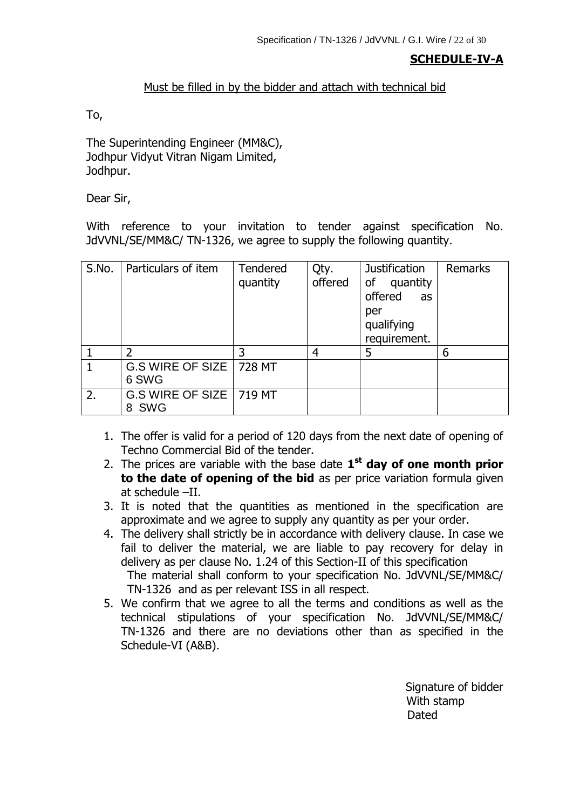## **SCHEDULE-IV-A**

#### Must be filled in by the bidder and attach with technical bid

To,

The Superintending Engineer (MM&C), Jodhpur Vidyut Vitran Nigam Limited, Jodhpur.

Dear Sir,

With reference to your invitation to tender against specification No. JdVVNL/SE/MM&C/ TN-1326, we agree to supply the following quantity.

| S.No. | Particulars of item                          | Tendered<br>quantity | Qty.<br>offered | <b>Justification</b><br>of<br>quantity<br>offered<br>as<br>per<br>qualifying<br>requirement. | <b>Remarks</b> |
|-------|----------------------------------------------|----------------------|-----------------|----------------------------------------------------------------------------------------------|----------------|
|       | $\overline{\phantom{a}}$                     | 3                    | 4               | 5                                                                                            | 6              |
|       | G.S WIRE OF SIZE   728 MT<br>6 SWG           |                      |                 |                                                                                              |                |
| 2.    | G.S WIRE OF SIZE   719 MT<br><b>SWG</b><br>8 |                      |                 |                                                                                              |                |

- 1. The offer is valid for a period of 120 days from the next date of opening of Techno Commercial Bid of the tender.
- 2. The prices are variable with the base date **1 st day of one month prior to the date of opening of the bid** as per price variation formula given at schedule –II.
- 3. It is noted that the quantities as mentioned in the specification are approximate and we agree to supply any quantity as per your order.
- 4. The delivery shall strictly be in accordance with delivery clause. In case we fail to deliver the material, we are liable to pay recovery for delay in delivery as per clause No. 1.24 of this Section-II of this specification The material shall conform to your specification No. JdVVNL/SE/MM&C/ TN-1326 and as per relevant ISS in all respect.
- 5. We confirm that we agree to all the terms and conditions as well as the technical stipulations of your specification No. JdVVNL/SE/MM&C/ TN-1326 and there are no deviations other than as specified in the Schedule-VI (A&B).

Signature of bidder With stamp discussion of the contract of the contract of the contract of the Dated Dated Street, and the contract of the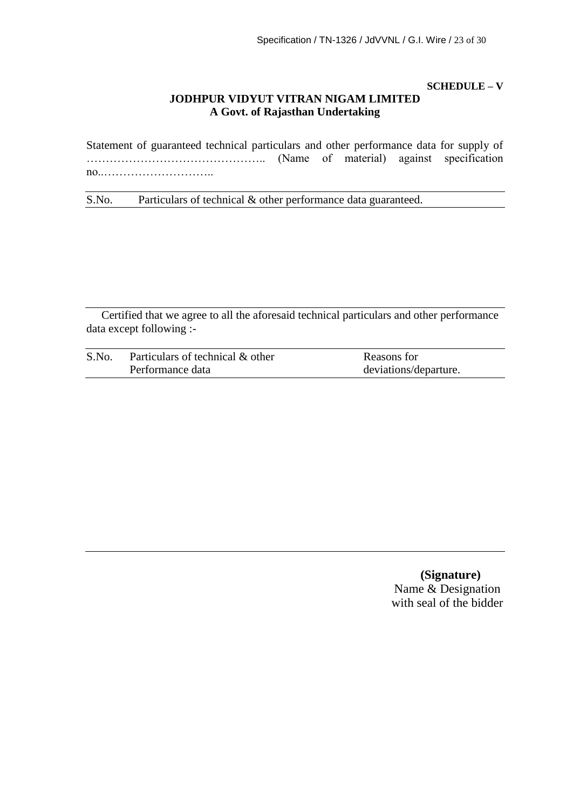**SCHEDULE – V**

#### **JODHPUR VIDYUT VITRAN NIGAM LIMITED A Govt. of Rajasthan Undertaking**

Statement of guaranteed technical particulars and other performance data for supply of ……………………………………….. (Name of material) against specification no..………………………..

S.No. Particulars of technical & other performance data guaranteed.

Certified that we agree to all the aforesaid technical particulars and other performance data except following :-

| S.No. | Particulars of technical & other | Reasons for           |
|-------|----------------------------------|-----------------------|
|       | Performance data                 | deviations/departure. |

**(Signature)** Name & Designation with seal of the bidder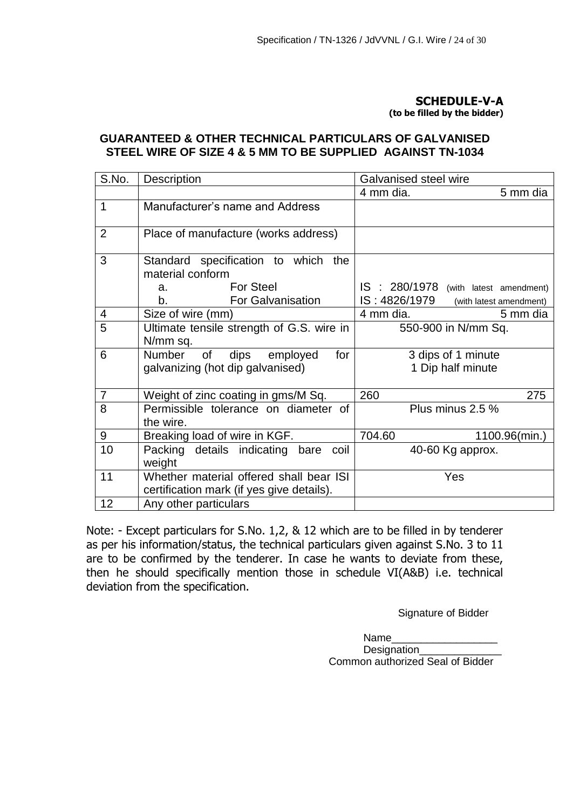#### **SCHEDULE-V-A**

**(to be filled by the bidder)**

#### **GUARANTEED & OTHER TECHNICAL PARTICULARS OF GALVANISED STEEL WIRE OF SIZE 4 & 5 MM TO BE SUPPLIED AGAINST TN-1034**

| S.No.          | <b>Description</b>                                                                                                     | Galvanised steel wire                                                             |
|----------------|------------------------------------------------------------------------------------------------------------------------|-----------------------------------------------------------------------------------|
|                |                                                                                                                        | 4 mm dia.<br>5 mm dia                                                             |
| $\mathbf{1}$   | Manufacturer's name and Address                                                                                        |                                                                                   |
| 2              | Place of manufacture (works address)                                                                                   |                                                                                   |
| 3              | Standard specification to which<br>the<br>material conform<br><b>For Steel</b><br>a.<br><b>For Galvanisation</b><br>b. | IS : 280/1978 (with latest amendment)<br>IS: 4826/1979<br>(with latest amendment) |
| 4              | Size of wire (mm)                                                                                                      | 4 mm dia.<br>5 mm dia                                                             |
| $\overline{5}$ | Ultimate tensile strength of G.S. wire in<br>N/mm sq.                                                                  | 550-900 in N/mm Sq.                                                               |
| 6              | dips<br>Number<br>for<br>of<br>employed<br>galvanizing (hot dip galvanised)                                            | 3 dips of 1 minute<br>1 Dip half minute                                           |
| $\overline{7}$ | Weight of zinc coating in gms/M Sq.                                                                                    | 260<br>275                                                                        |
| 8              | Permissible tolerance on diameter of<br>the wire.                                                                      | Plus minus 2.5 %                                                                  |
| 9              | Breaking load of wire in KGF.                                                                                          | 704.60<br>1100.96(min.)                                                           |
| 10             | Packing details indicating bare coil<br>weight                                                                         | 40-60 Kg approx.                                                                  |
| 11             | Whether material offered shall bear ISI<br>certification mark (if yes give details).                                   | Yes                                                                               |
| 12             | Any other particulars                                                                                                  |                                                                                   |

Note: - Except particulars for S.No. 1,2, & 12 which are to be filled in by tenderer as per his information/status, the technical particulars given against S.No. 3 to 11 are to be confirmed by the tenderer. In case he wants to deviate from these, then he should specifically mention those in schedule VI(A&B) i.e. technical deviation from the specification.

Signature of Bidder

Name\_\_\_\_\_\_\_\_\_\_\_\_\_\_\_\_\_\_ Designation Common authorized Seal of Bidder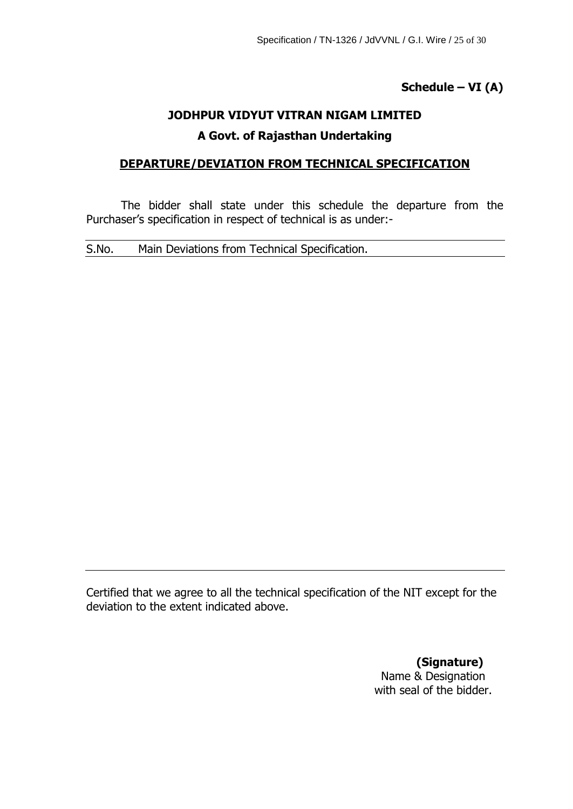**Schedule – VI (A)**

# **JODHPUR VIDYUT VITRAN NIGAM LIMITED A Govt. of Rajasthan Undertaking**

## **DEPARTURE/DEVIATION FROM TECHNICAL SPECIFICATION**

The bidder shall state under this schedule the departure from the Purchaser's specification in respect of technical is as under:-

S.No. Main Deviations from Technical Specification.

Certified that we agree to all the technical specification of the NIT except for the deviation to the extent indicated above.

> **(Signature)** Name & Designation with seal of the bidder.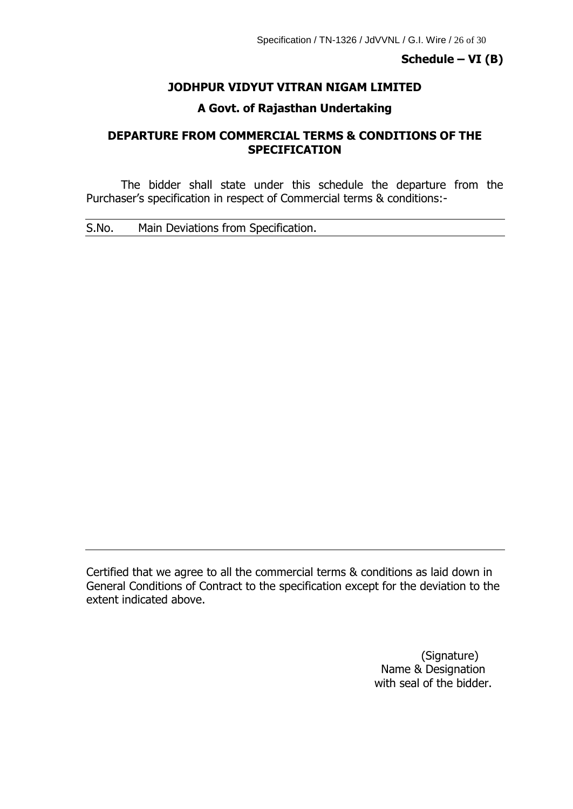#### **Schedule – VI (B)**

## **JODHPUR VIDYUT VITRAN NIGAM LIMITED**

#### **A Govt. of Rajasthan Undertaking**

## **DEPARTURE FROM COMMERCIAL TERMS & CONDITIONS OF THE SPECIFICATION**

The bidder shall state under this schedule the departure from the Purchaser's specification in respect of Commercial terms & conditions:-

S.No. Main Deviations from Specification.

Certified that we agree to all the commercial terms & conditions as laid down in General Conditions of Contract to the specification except for the deviation to the extent indicated above.

> (Signature) Name & Designation with seal of the bidder.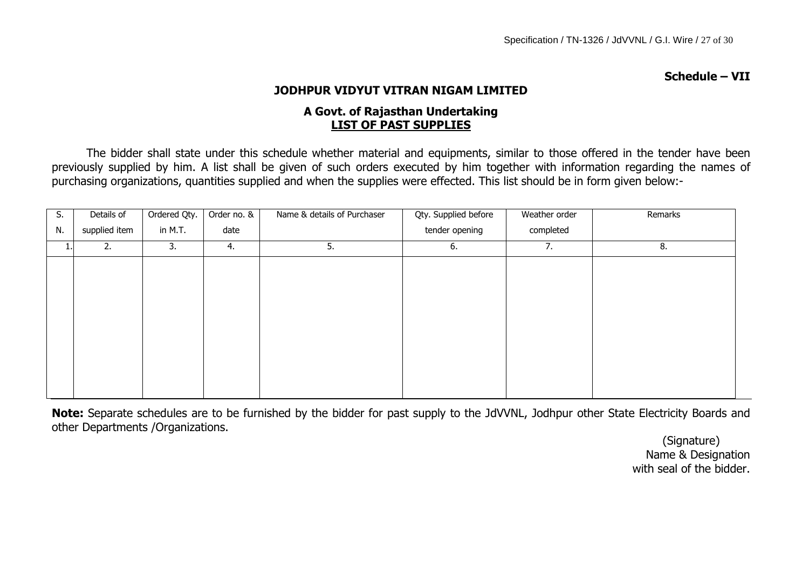**Schedule – VII**

## **JODHPUR VIDYUT VITRAN NIGAM LIMITED**

## **A Govt. of Rajasthan Undertaking LIST OF PAST SUPPLIES**

The bidder shall state under this schedule whether material and equipments, similar to those offered in the tender have been previously supplied by him. A list shall be given of such orders executed by him together with information regarding the names of purchasing organizations, quantities supplied and when the supplies were effected. This list should be in form given below:-

| S. | Details of    | Ordered Qty. | Order no. & | Name & details of Purchaser | Qty. Supplied before | Weather order | Remarks |
|----|---------------|--------------|-------------|-----------------------------|----------------------|---------------|---------|
| N. | supplied item | in M.T.      | date        |                             | tender opening       | completed     |         |
| 1. | 2.            | 3.           | 4.          | 5.                          | 6.                   | 7.            | 8.      |
|    |               |              |             |                             |                      |               |         |
|    |               |              |             |                             |                      |               |         |
|    |               |              |             |                             |                      |               |         |
|    |               |              |             |                             |                      |               |         |
|    |               |              |             |                             |                      |               |         |
|    |               |              |             |                             |                      |               |         |
|    |               |              |             |                             |                      |               |         |
|    |               |              |             |                             |                      |               |         |
|    |               |              |             |                             |                      |               |         |

**Note:** Separate schedules are to be furnished by the bidder for past supply to the JdVVNL, Jodhpur other State Electricity Boards and other Departments /Organizations.

 (Signature) Name & Designation with seal of the bidder.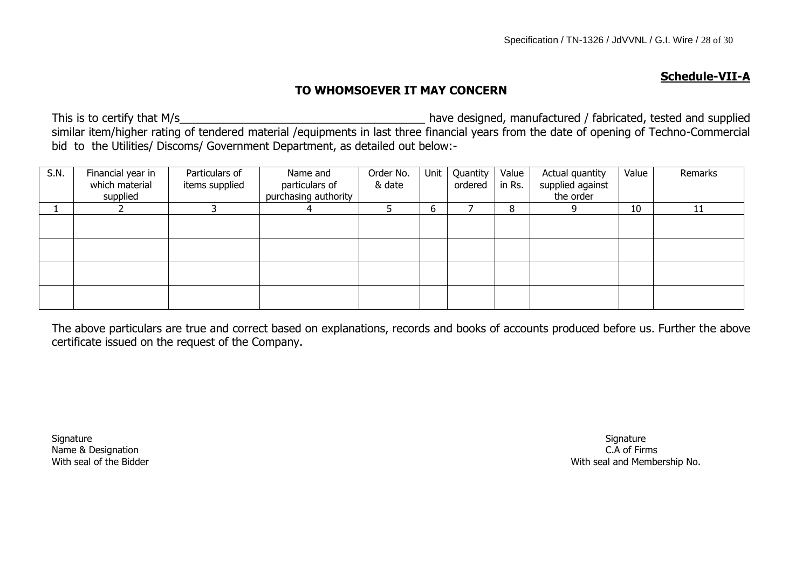#### **Schedule-VII-A**

## **TO WHOMSOEVER IT MAY CONCERN**

This is to certify that M/s similar item/higher rating of tendered material /equipments in last three financial years from the date of opening of Techno-Commercial bid to the Utilities/ Discoms/ Government Department, as detailed out below:-

| S.N. | Financial year in<br>which material<br>supplied | Particulars of<br>items supplied | Name and<br>particulars of<br>purchasing authority | Order No.<br>& date | Unit | Quantity<br>ordered | Value<br>in Rs. | Actual quantity<br>supplied against<br>the order | Value | Remarks |
|------|-------------------------------------------------|----------------------------------|----------------------------------------------------|---------------------|------|---------------------|-----------------|--------------------------------------------------|-------|---------|
|      |                                                 |                                  | 4                                                  |                     | b    |                     | 8               |                                                  | 10    | 11      |
|      |                                                 |                                  |                                                    |                     |      |                     |                 |                                                  |       |         |
|      |                                                 |                                  |                                                    |                     |      |                     |                 |                                                  |       |         |
|      |                                                 |                                  |                                                    |                     |      |                     |                 |                                                  |       |         |
|      |                                                 |                                  |                                                    |                     |      |                     |                 |                                                  |       |         |

The above particulars are true and correct based on explanations, records and books of accounts produced before us. Further the above certificate issued on the request of the Company.

Signature Signature Signature Signature Signature Signature Signature Signature Signature Signature Signature Name & Designation **C.A of Firms**  $\blacksquare$ 

With seal of the Bidder No. and Membership No.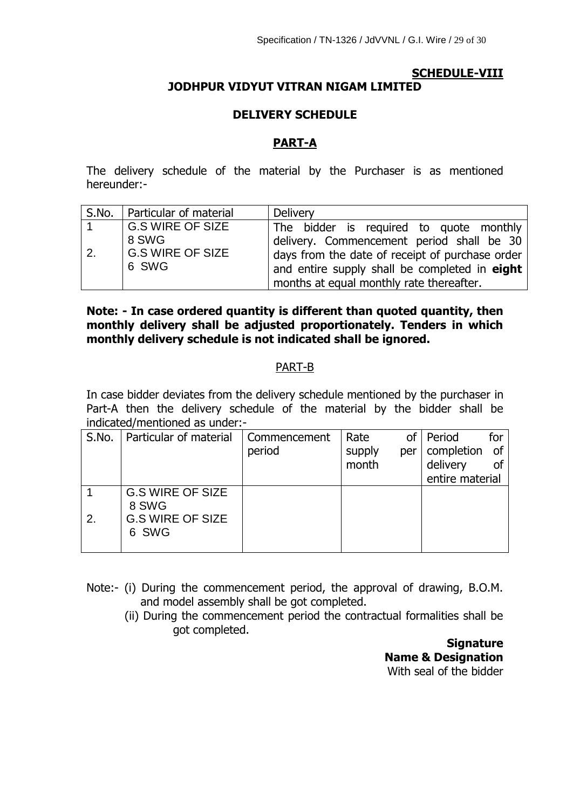## **SCHEDULE-VIII JODHPUR VIDYUT VITRAN NIGAM LIMITED**

## **DELIVERY SCHEDULE**

## **PART-A**

The delivery schedule of the material by the Purchaser is as mentioned hereunder:-

|    | S.No.   Particular of material            | Delivery                                                                                                                                                                                  |
|----|-------------------------------------------|-------------------------------------------------------------------------------------------------------------------------------------------------------------------------------------------|
|    | <b>G.S WIRE OF SIZE</b>                   | The bidder is required to quote monthly                                                                                                                                                   |
| 2. | 8 SWG<br><b>G.S WIRE OF SIZE</b><br>6 SWG | delivery. Commencement period shall be 30<br>days from the date of receipt of purchase order<br>and entire supply shall be completed in eight<br>months at equal monthly rate thereafter. |

## **Note: - In case ordered quantity is different than quoted quantity, then monthly delivery shall be adjusted proportionately. Tenders in which monthly delivery schedule is not indicated shall be ignored.**

#### PART-B

In case bidder deviates from the delivery schedule mentioned by the purchaser in Part-A then the delivery schedule of the material by the bidder shall be indicated/mentioned as under:-

| S.No. | Particular of material  | Commencement | Rate   | οf  | Period          |    |
|-------|-------------------------|--------------|--------|-----|-----------------|----|
|       |                         | period       | supply | per | completion      | of |
|       |                         |              | month  |     | delivery        |    |
|       |                         |              |        |     | entire material |    |
|       | <b>G.S WIRE OF SIZE</b> |              |        |     |                 |    |
|       | 8 SWG                   |              |        |     |                 |    |
| 2.    | <b>G.S WIRE OF SIZE</b> |              |        |     |                 |    |
|       | 6 SWG                   |              |        |     |                 |    |
|       |                         |              |        |     |                 |    |

- Note:- (i) During the commencement period, the approval of drawing, B.O.M. and model assembly shall be got completed.
	- (ii) During the commencement period the contractual formalities shall be got completed.

**Signature Name & Designation** With seal of the bidder